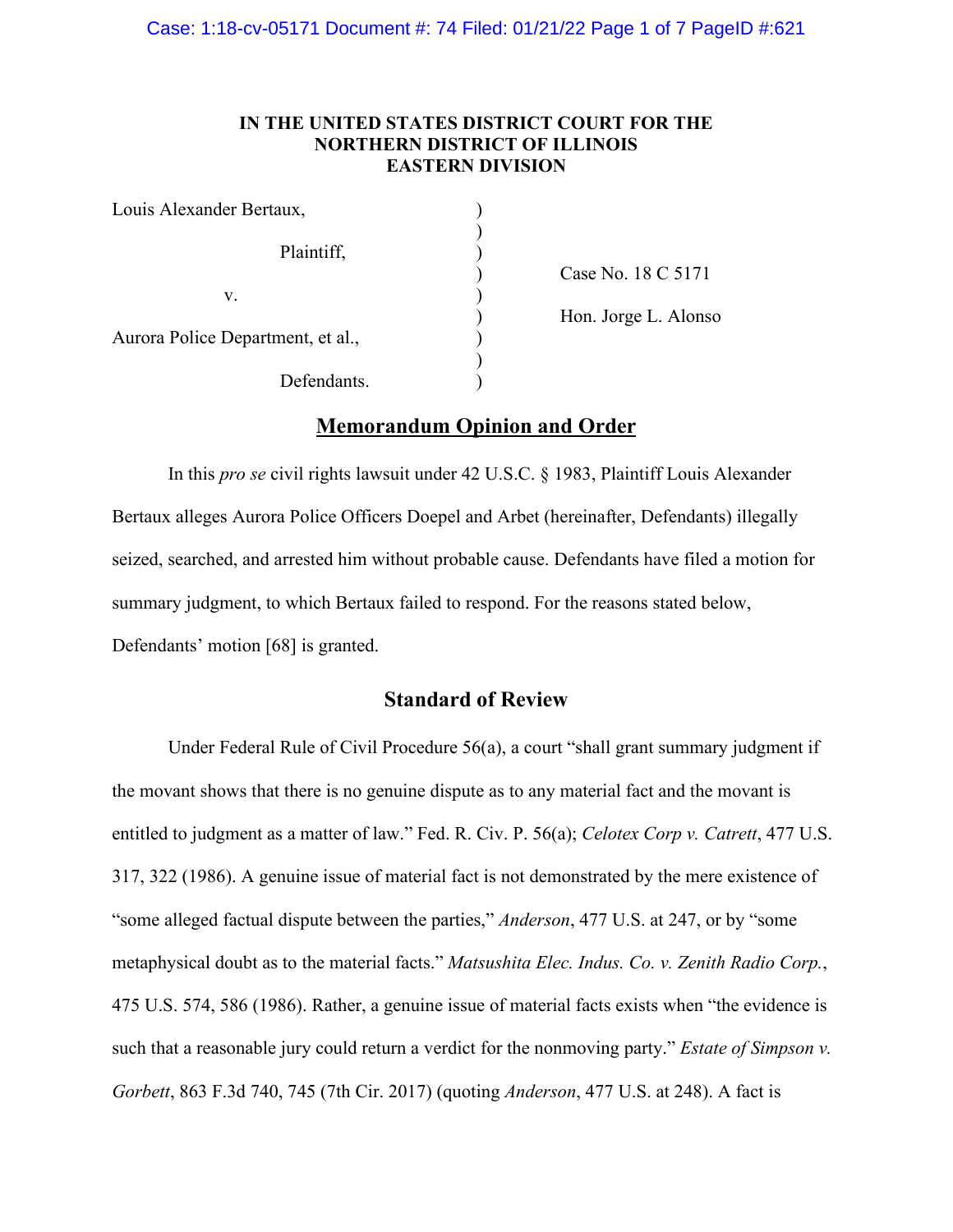### **IN THE UNITED STATES DISTRICT COURT FOR THE NORTHERN DISTRICT OF ILLINOIS EASTERN DIVISION**

| Louis Alexander Bertaux,          |  |
|-----------------------------------|--|
| Plaintiff,                        |  |
| V.                                |  |
| Aurora Police Department, et al., |  |
| Defendants.                       |  |

) Case No. 18 C 5171 ) Hon. Jorge L. Alonso

# **Memorandum Opinion and Order**

In this *pro se* civil rights lawsuit under 42 U.S.C. § 1983, Plaintiff Louis Alexander Bertaux alleges Aurora Police Officers Doepel and Arbet (hereinafter, Defendants) illegally seized, searched, and arrested him without probable cause. Defendants have filed a motion for summary judgment, to which Bertaux failed to respond. For the reasons stated below, Defendants' motion [68] is granted.

### **Standard of Review**

Under Federal Rule of Civil Procedure 56(a), a court "shall grant summary judgment if the movant shows that there is no genuine dispute as to any material fact and the movant is entitled to judgment as a matter of law." Fed. R. Civ. P. 56(a); *Celotex Corp v. Catrett*, 477 U.S. 317, 322 (1986). A genuine issue of material fact is not demonstrated by the mere existence of "some alleged factual dispute between the parties," *Anderson*, 477 U.S. at 247, or by "some metaphysical doubt as to the material facts." *Matsushita Elec. Indus. Co. v. Zenith Radio Corp.*, 475 U.S. 574, 586 (1986). Rather, a genuine issue of material facts exists when "the evidence is such that a reasonable jury could return a verdict for the nonmoving party." *Estate of Simpson v. Gorbett*, 863 F.3d 740, 745 (7th Cir. 2017) (quoting *Anderson*, 477 U.S. at 248). A fact is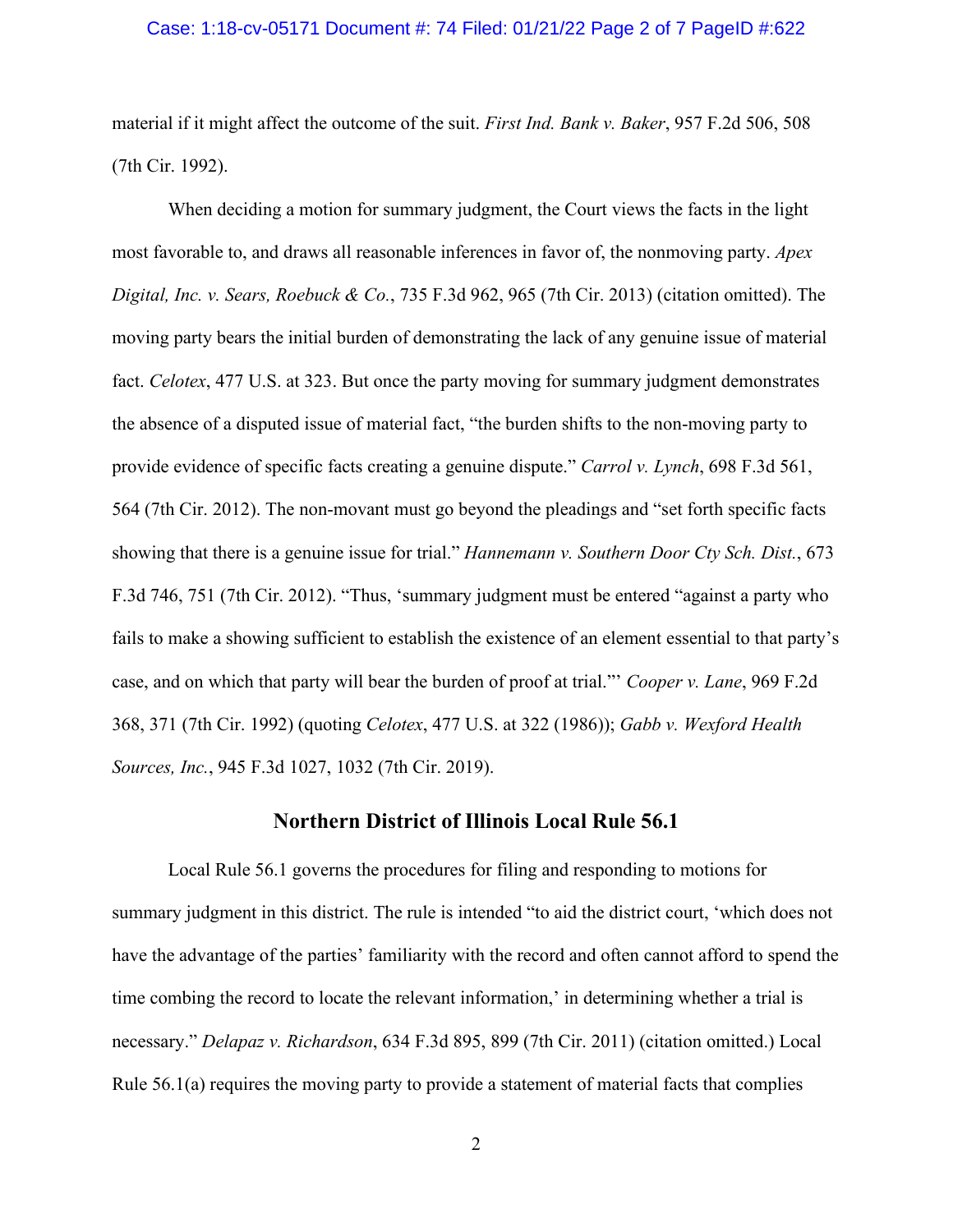#### Case: 1:18-cv-05171 Document #: 74 Filed: 01/21/22 Page 2 of 7 PageID #:622

material if it might affect the outcome of the suit. *First Ind. Bank v. Baker*, 957 F.2d 506, 508 (7th Cir. 1992).

When deciding a motion for summary judgment, the Court views the facts in the light most favorable to, and draws all reasonable inferences in favor of, the nonmoving party. *Apex Digital, Inc. v. Sears, Roebuck & Co.*, 735 F.3d 962, 965 (7th Cir. 2013) (citation omitted). The moving party bears the initial burden of demonstrating the lack of any genuine issue of material fact. *Celotex*, 477 U.S. at 323. But once the party moving for summary judgment demonstrates the absence of a disputed issue of material fact, "the burden shifts to the non-moving party to provide evidence of specific facts creating a genuine dispute." *Carrol v. Lynch*, 698 F.3d 561, 564 (7th Cir. 2012). The non-movant must go beyond the pleadings and "set forth specific facts showing that there is a genuine issue for trial." *Hannemann v. Southern Door Cty Sch. Dist.*, 673 F.3d 746, 751 (7th Cir. 2012). "Thus, 'summary judgment must be entered "against a party who fails to make a showing sufficient to establish the existence of an element essential to that party's case, and on which that party will bear the burden of proof at trial."' *Cooper v. Lane*, 969 F.2d 368, 371 (7th Cir. 1992) (quoting *Celotex*, 477 U.S. at 322 (1986)); *Gabb v. Wexford Health Sources, Inc.*, 945 F.3d 1027, 1032 (7th Cir. 2019).

### **Northern District of Illinois Local Rule 56.1**

Local Rule 56.1 governs the procedures for filing and responding to motions for summary judgment in this district. The rule is intended "to aid the district court, 'which does not have the advantage of the parties' familiarity with the record and often cannot afford to spend the time combing the record to locate the relevant information,' in determining whether a trial is necessary." *Delapaz v. Richardson*, 634 F.3d 895, 899 (7th Cir. 2011) (citation omitted.) Local Rule 56.1(a) requires the moving party to provide a statement of material facts that complies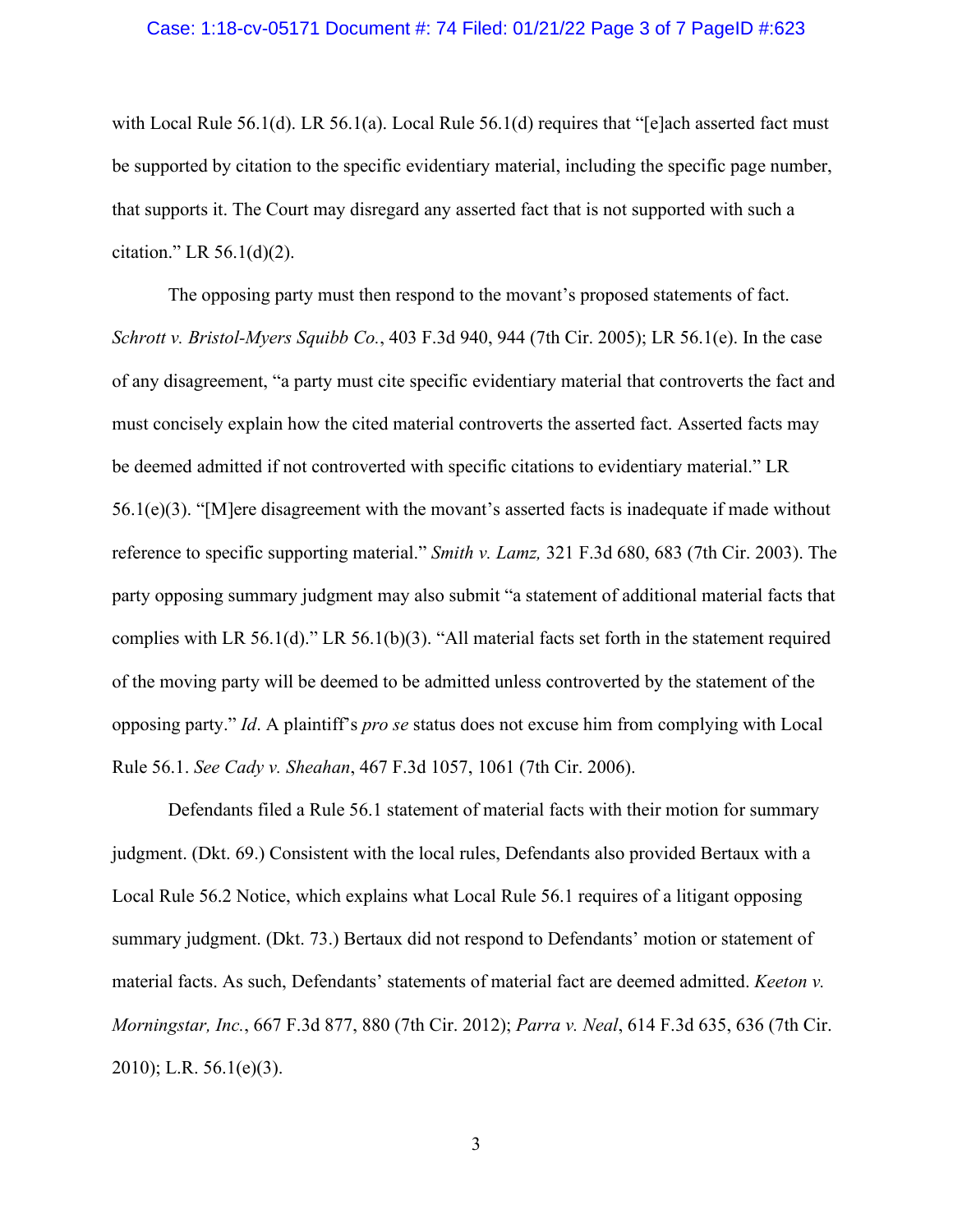#### Case: 1:18-cv-05171 Document #: 74 Filed: 01/21/22 Page 3 of 7 PageID #:623

with Local Rule 56.1(d). LR 56.1(a). Local Rule 56.1(d) requires that "[e]ach asserted fact must be supported by citation to the specific evidentiary material, including the specific page number, that supports it. The Court may disregard any asserted fact that is not supported with such a citation." LR  $56.1(d)(2)$ .

The opposing party must then respond to the movant's proposed statements of fact. *[Schrott v. Bristol-Myers Squibb Co.](https://web2.westlaw.com/find/default.wl?mt=Westlaw&db=0000506&tc=-1&rp=%2ffind%2fdefault.wl&findtype=Y&ordoc=2036243492&serialnum=2006464425&vr=2.0&fn=_top&sv=Split&tf=-1&referencepositiontype=S&pbc=5AA5E9CC&referenceposition=944&rs=WLW15.04)*, 403 F.3d 940, 944 (7th Cir. 2005); LR 56.1(e). In the case of any disagreement, "a party must cite specific evidentiary material that controverts the fact and must concisely explain how the cited material controverts the asserted fact. Asserted facts may be deemed admitted if not controverted with specific citations to evidentiary material." LR  $56.1(e)(3)$ . "[M]ere disagreement with the movant's asserted facts is inadequate if made without reference to specific supporting material." *Smith v. Lamz,* [321 F.3d 680, 683 \(7th Cir. 2003\).](https://web2.westlaw.com/find/default.wl?mt=Westlaw&db=0000506&tc=-1&rp=%2ffind%2fdefault.wl&findtype=Y&ordoc=2036243492&serialnum=2003193643&vr=2.0&fn=_top&sv=Split&tf=-1&referencepositiontype=S&pbc=5AA5E9CC&referenceposition=683&rs=WLW15.04) The party opposing summary judgment may also submit "a statement of additional material facts that complies with LR 56.1(d)." LR 56.1(b)(3). "All material facts set forth in the statement required of the moving party will be deemed to be admitted unless controverted by the statement of the opposing party." *Id*. A plaintiff's *pro se* status does not excuse him from complying with Local Rule 56.1. *See Cady v. Sheahan*, 467 F.3d 1057, 1061 (7th Cir. 2006).

Defendants filed a Rule 56.1 statement of material facts with their motion for summary judgment. (Dkt. 69.) Consistent with the local rules, Defendants also provided Bertaux with a Local Rule 56.2 Notice, which explains what Local Rule 56.1 requires of a litigant opposing summary judgment. (Dkt. 73.) Bertaux did not respond to Defendants' motion or statement of material facts. As such, Defendants' statements of material fact are deemed admitted. *Keeton v. Morningstar, Inc.*, 667 F.3d 877, 880 (7th Cir. 2012); *Parra v. Neal*, 614 F.3d 635, 636 (7th Cir. 2010); L.R. 56.1(e)(3).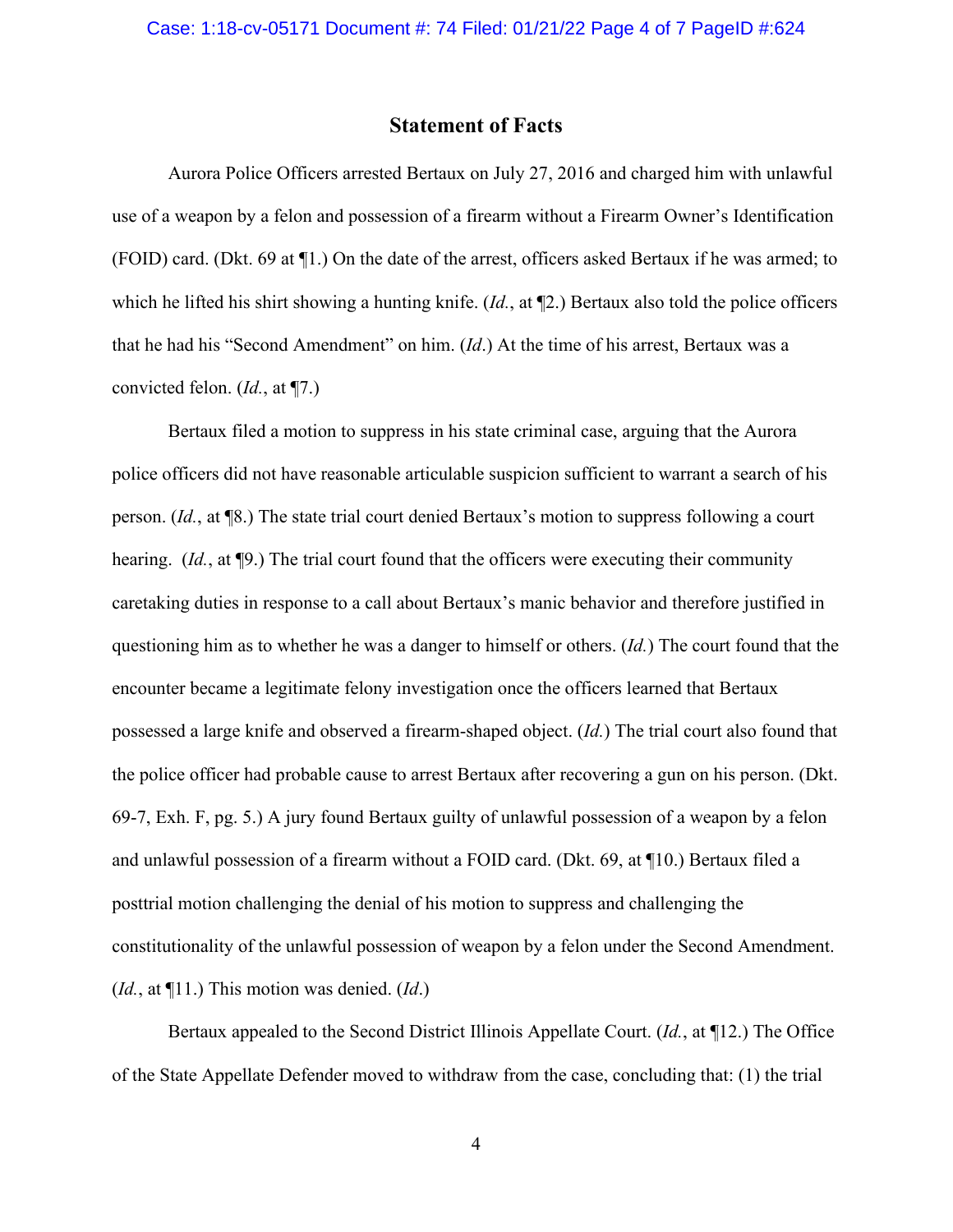### **Statement of Facts**

Aurora Police Officers arrested Bertaux on July 27, 2016 and charged him with unlawful use of a weapon by a felon and possession of a firearm without a Firearm Owner's Identification (FOID) card. (Dkt. 69 at ¶1.) On the date of the arrest, officers asked Bertaux if he was armed; to which he lifted his shirt showing a hunting knife. (*Id.*, at ¶2.) Bertaux also told the police officers that he had his "Second Amendment" on him. (*Id*.) At the time of his arrest, Bertaux was a convicted felon. (*Id.*, at ¶7.)

Bertaux filed a motion to suppress in his state criminal case, arguing that the Aurora police officers did not have reasonable articulable suspicion sufficient to warrant a search of his person. (*Id.*, at ¶8.) The state trial court denied Bertaux's motion to suppress following a court hearing. (*Id.*, at ¶9.) The trial court found that the officers were executing their community caretaking duties in response to a call about Bertaux's manic behavior and therefore justified in questioning him as to whether he was a danger to himself or others. (*Id.*) The court found that the encounter became a legitimate felony investigation once the officers learned that Bertaux possessed a large knife and observed a firearm-shaped object. (*Id.*) The trial court also found that the police officer had probable cause to arrest Bertaux after recovering a gun on his person. (Dkt. 69-7, Exh. F, pg. 5.) A jury found Bertaux guilty of unlawful possession of a weapon by a felon and unlawful possession of a firearm without a FOID card. (Dkt. 69, at ¶10.) Bertaux filed a posttrial motion challenging the denial of his motion to suppress and challenging the constitutionality of the unlawful possession of weapon by a felon under the Second Amendment. (*Id.*, at ¶11.) This motion was denied. (*Id*.)

Bertaux appealed to the Second District Illinois Appellate Court. (*Id.*, at ¶12.) The Office of the State Appellate Defender moved to withdraw from the case, concluding that: (1) the trial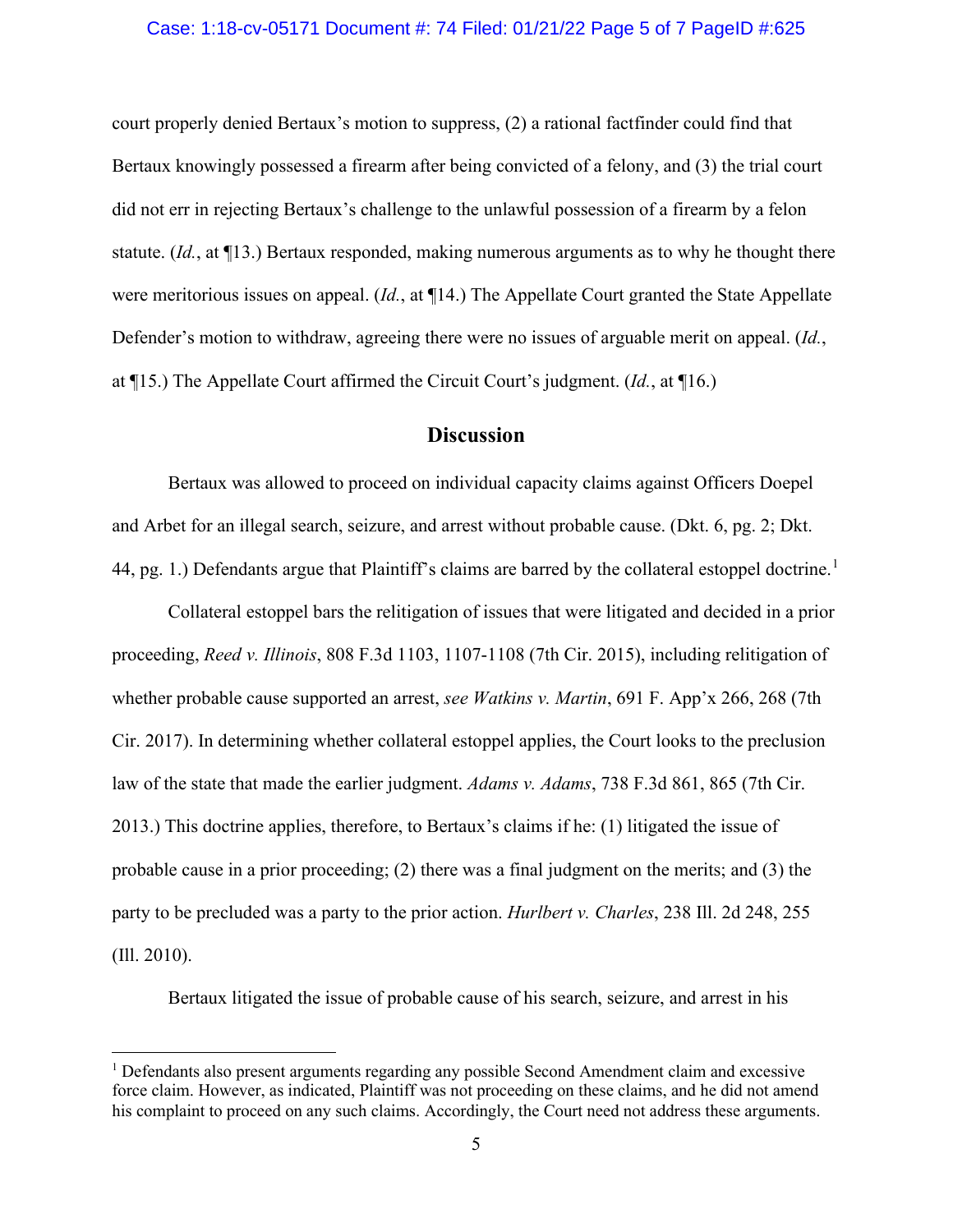#### Case: 1:18-cv-05171 Document #: 74 Filed: 01/21/22 Page 5 of 7 PageID #:625

court properly denied Bertaux's motion to suppress, (2) a rational factfinder could find that Bertaux knowingly possessed a firearm after being convicted of a felony, and (3) the trial court did not err in rejecting Bertaux's challenge to the unlawful possession of a firearm by a felon statute. (*Id.*, at ¶13.) Bertaux responded, making numerous arguments as to why he thought there were meritorious issues on appeal. (*Id.*, at ¶14.) The Appellate Court granted the State Appellate Defender's motion to withdraw, agreeing there were no issues of arguable merit on appeal. (*Id.*, at ¶15.) The Appellate Court affirmed the Circuit Court's judgment. (*Id.*, at ¶16.)

# **Discussion**

Bertaux was allowed to proceed on individual capacity claims against Officers Doepel and Arbet for an illegal search, seizure, and arrest without probable cause. (Dkt. 6, pg. 2; Dkt. 44, pg. [1](#page-4-0).) Defendants argue that Plaintiff's claims are barred by the collateral estoppel doctrine.<sup>1</sup>

Collateral estoppel bars the relitigation of issues that were litigated and decided in a prior proceeding, *Reed v. Illinois*, 808 F.3d 1103, 1107-1108 (7th Cir. 2015), including relitigation of whether probable cause supported an arrest, *see Watkins v. Martin*, 691 F. App'x 266, 268 (7th Cir. 2017). In determining whether collateral estoppel applies, the Court looks to the preclusion law of the state that made the earlier judgment. *Adams v. Adams*, 738 F.3d 861, 865 (7th Cir. 2013.) This doctrine applies, therefore, to Bertaux's claims if he: (1) litigated the issue of probable cause in a prior proceeding; (2) there was a final judgment on the merits; and (3) the party to be precluded was a party to the prior action. *Hurlbert v. Charles*, 238 Ill. 2d 248, 255 (Ill. 2010).

Bertaux litigated the issue of probable cause of his search, seizure, and arrest in his

<span id="page-4-0"></span> $<sup>1</sup>$  Defendants also present arguments regarding any possible Second Amendment claim and excessive</sup> force claim. However, as indicated, Plaintiff was not proceeding on these claims, and he did not amend his complaint to proceed on any such claims. Accordingly, the Court need not address these arguments.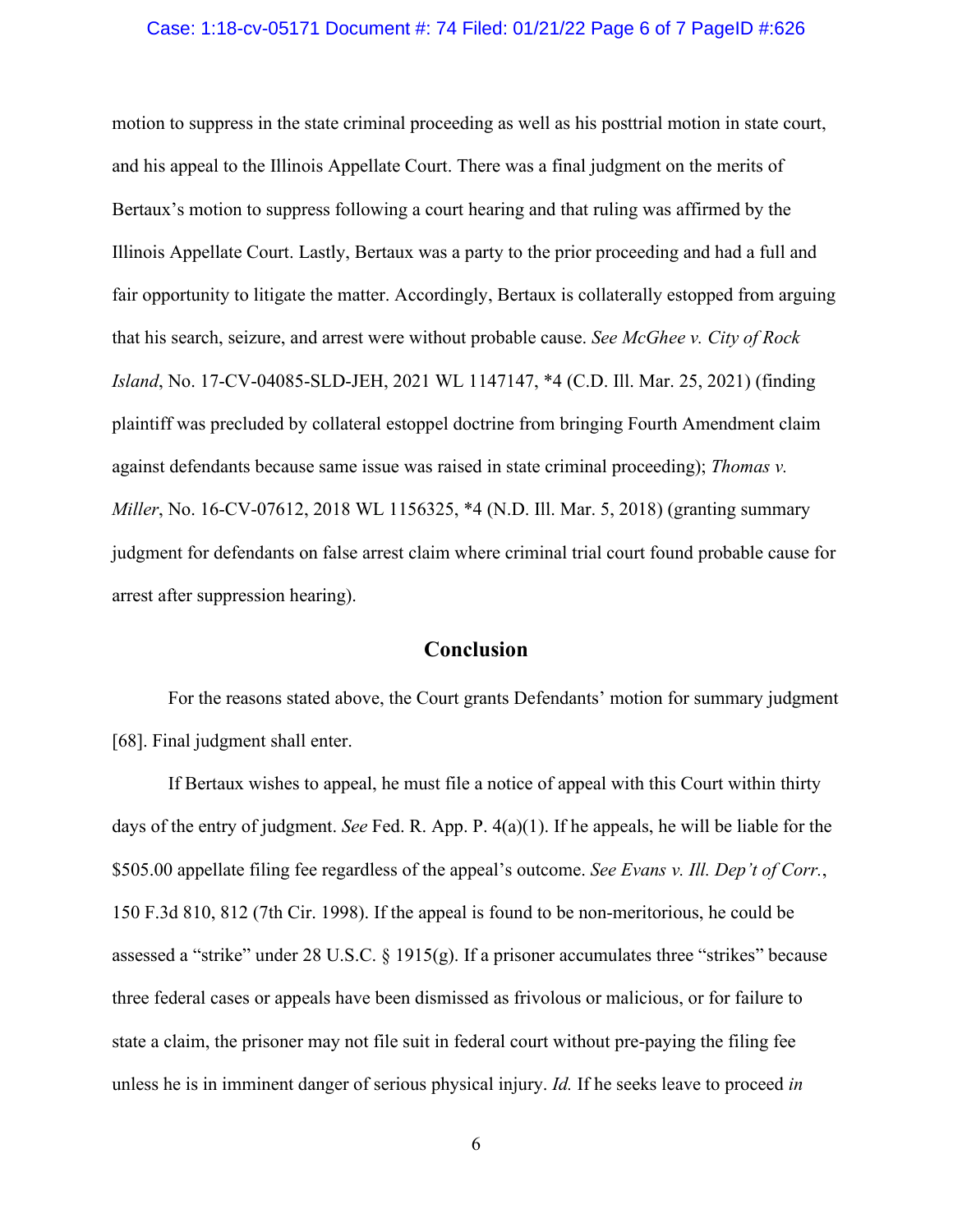#### Case: 1:18-cv-05171 Document #: 74 Filed: 01/21/22 Page 6 of 7 PageID #:626

motion to suppress in the state criminal proceeding as well as his posttrial motion in state court, and his appeal to the Illinois Appellate Court. There was a final judgment on the merits of Bertaux's motion to suppress following a court hearing and that ruling was affirmed by the Illinois Appellate Court. Lastly, Bertaux was a party to the prior proceeding and had a full and fair opportunity to litigate the matter. Accordingly, Bertaux is collaterally estopped from arguing that his search, seizure, and arrest were without probable cause. *See McGhee v. City of Rock Island*, No. 17-CV-04085-SLD-JEH, 2021 WL 1147147, \*4 (C.D. Ill. Mar. 25, 2021) (finding plaintiff was precluded by collateral estoppel doctrine from bringing Fourth Amendment claim against defendants because same issue was raised in state criminal proceeding); *Thomas v. Miller*, No. 16-CV-07612, 2018 WL 1156325, \*4 (N.D. Ill. Mar. 5, 2018) (granting summary judgment for defendants on false arrest claim where criminal trial court found probable cause for arrest after suppression hearing).

# **Conclusion**

For the reasons stated above, the Court grants Defendants' motion for summary judgment [68]. Final judgment shall enter.

If Bertaux wishes to appeal, he must file a notice of appeal with this Court within thirty days of the entry of judgment. *See* Fed. R. App. P. 4(a)(1). If he appeals, he will be liable for the \$505.00 appellate filing fee regardless of the appeal's outcome. *See Evans v. Ill. Dep't of Corr.*, 150 F.3d 810, 812 (7th Cir. 1998). If the appeal is found to be non-meritorious, he could be assessed a "strike" under 28 U.S.C. § 1915(g). If a prisoner accumulates three "strikes" because three federal cases or appeals have been dismissed as frivolous or malicious, or for failure to state a claim, the prisoner may not file suit in federal court without pre-paying the filing fee unless he is in imminent danger of serious physical injury. *Id.* If he seeks leave to proceed *in*